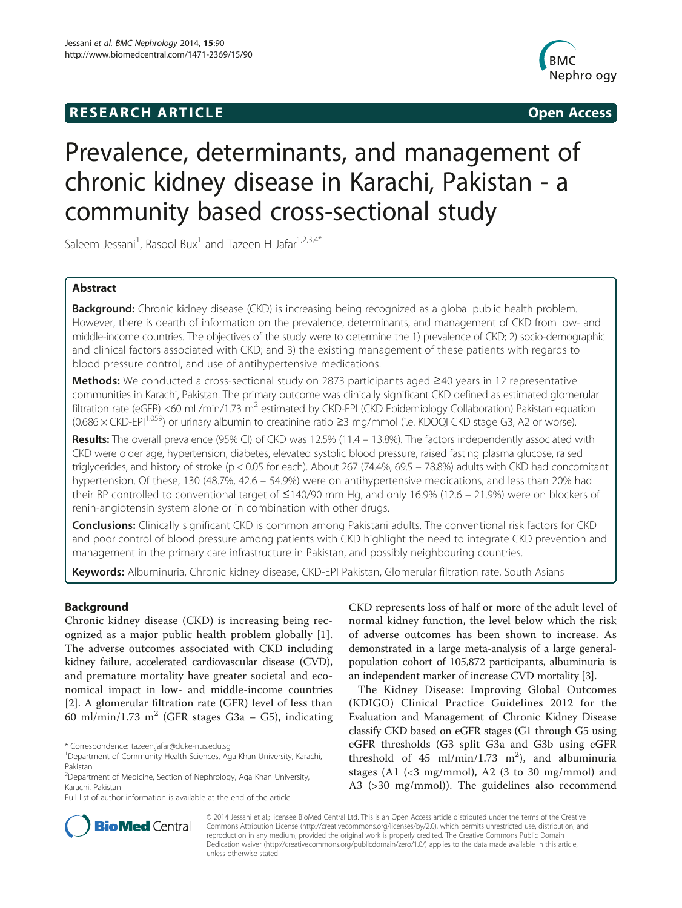## **RESEARCH ARTICLE Example 2014 CONSIDERING CONSIDERING CONSIDERING CONSIDERING CONSIDERING CONSIDERING CONSIDERING CONSIDERING CONSIDERING CONSIDERING CONSIDERING CONSIDERING CONSIDERING CONSIDERING CONSIDERING CONSIDE**



# Prevalence, determinants, and management of chronic kidney disease in Karachi, Pakistan - a community based cross-sectional study

Saleem Jessani<sup>1</sup>, Rasool Bux<sup>1</sup> and Tazeen H Jafar<sup>1,2,3,4\*</sup>

## Abstract

Background: Chronic kidney disease (CKD) is increasing being recognized as a global public health problem. However, there is dearth of information on the prevalence, determinants, and management of CKD from low- and middle-income countries. The objectives of the study were to determine the 1) prevalence of CKD; 2) socio-demographic and clinical factors associated with CKD; and 3) the existing management of these patients with regards to blood pressure control, and use of antihypertensive medications.

Methods: We conducted a cross-sectional study on 2873 participants aged ≥40 years in 12 representative communities in Karachi, Pakistan. The primary outcome was clinically significant CKD defined as estimated glomerular filtration rate (eGFR) <60 mL/min/1.73 m<sup>2</sup> estimated by CKD-EPI (CKD Epidemiology Collaboration) Pakistan equation (0.686 × CKD-EPI1.059) or urinary albumin to creatinine ratio ≥3 mg/mmol (i.e. KDOQI CKD stage G3, A2 or worse).

Results: The overall prevalence (95% CI) of CKD was 12.5% (11.4 – 13.8%). The factors independently associated with CKD were older age, hypertension, diabetes, elevated systolic blood pressure, raised fasting plasma glucose, raised triglycerides, and history of stroke (p < 0.05 for each). About 267 (74.4%, 69.5 – 78.8%) adults with CKD had concomitant hypertension. Of these, 130 (48.7%, 42.6 – 54.9%) were on antihypertensive medications, and less than 20% had their BP controlled to conventional target of ≤140/90 mm Hg, and only 16.9% (12.6 – 21.9%) were on blockers of renin-angiotensin system alone or in combination with other drugs.

**Conclusions:** Clinically significant CKD is common among Pakistani adults. The conventional risk factors for CKD and poor control of blood pressure among patients with CKD highlight the need to integrate CKD prevention and management in the primary care infrastructure in Pakistan, and possibly neighbouring countries.

Keywords: Albuminuria, Chronic kidney disease, CKD-EPI Pakistan, Glomerular filtration rate, South Asians

## Background

Chronic kidney disease (CKD) is increasing being recognized as a major public health problem globally [[1](#page-8-0)]. The adverse outcomes associated with CKD including kidney failure, accelerated cardiovascular disease (CVD), and premature mortality have greater societal and economical impact in low- and middle-income countries [[2\]](#page-8-0). A glomerular filtration rate (GFR) level of less than 60 ml/min/1.73 m<sup>2</sup> (GFR stages G3a – G5), indicating

CKD represents loss of half or more of the adult level of normal kidney function, the level below which the risk of adverse outcomes has been shown to increase. As demonstrated in a large meta-analysis of a large generalpopulation cohort of 105,872 participants, albuminuria is an independent marker of increase CVD mortality [\[3](#page-8-0)].

The Kidney Disease: Improving Global Outcomes (KDIGO) Clinical Practice Guidelines 2012 for the Evaluation and Management of Chronic Kidney Disease classify CKD based on eGFR stages (G1 through G5 using eGFR thresholds (G3 split G3a and G3b using eGFR threshold of  $45 \text{ ml/min}/1.73 \text{ m}^2$ ), and albuminuria stages (A1  $\left($  <3 mg/mmol), A2  $\left($  3 to 30 mg/mmol) and A3 (>30 mg/mmol)). The guidelines also recommend



© 2014 Jessani et al.; licensee BioMed Central Ltd. This is an Open Access article distributed under the terms of the Creative Commons Attribution License [\(http://creativecommons.org/licenses/by/2.0\)](http://creativecommons.org/licenses/by/2.0), which permits unrestricted use, distribution, and reproduction in any medium, provided the original work is properly credited. The Creative Commons Public Domain Dedication waiver [\(http://creativecommons.org/publicdomain/zero/1.0/](http://creativecommons.org/publicdomain/zero/1.0/)) applies to the data made available in this article, unless otherwise stated.

<sup>\*</sup> Correspondence: [tazeen.jafar@duke-nus.edu.sg](mailto:tazeen.jafar@duke-nus.edu.sg) <sup>1</sup>

<sup>&</sup>lt;sup>1</sup>Department of Community Health Sciences, Aga Khan University, Karachi, Pakistan

<sup>&</sup>lt;sup>2</sup>Department of Medicine, Section of Nephrology, Aga Khan University, Karachi, Pakistan

Full list of author information is available at the end of the article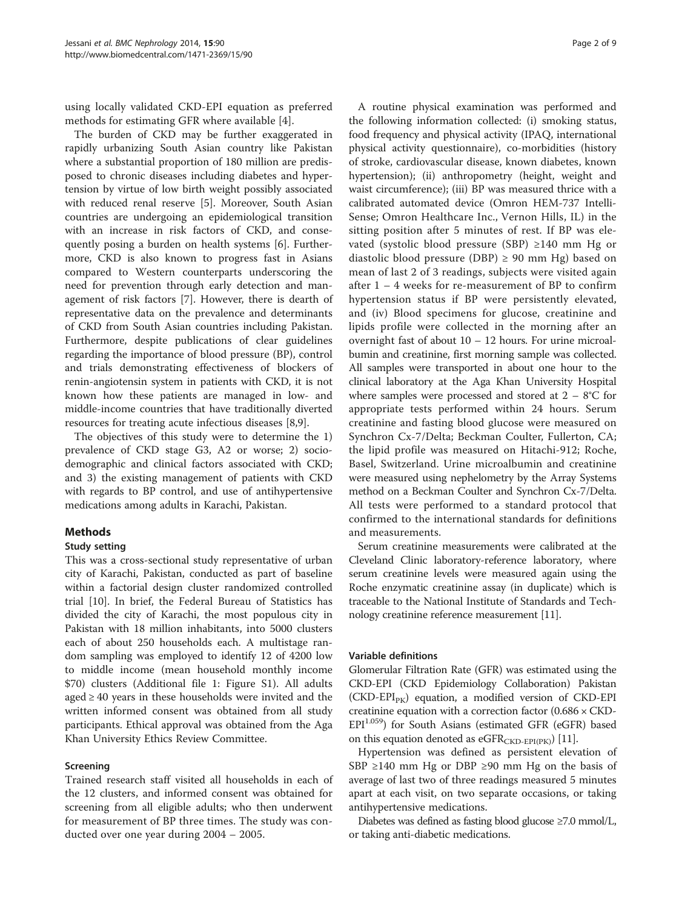using locally validated CKD-EPI equation as preferred methods for estimating GFR where available [[4\]](#page-8-0).

The burden of CKD may be further exaggerated in rapidly urbanizing South Asian country like Pakistan where a substantial proportion of 180 million are predisposed to chronic diseases including diabetes and hypertension by virtue of low birth weight possibly associated with reduced renal reserve [\[5](#page-8-0)]. Moreover, South Asian countries are undergoing an epidemiological transition with an increase in risk factors of CKD, and consequently posing a burden on health systems [[6\]](#page-8-0). Furthermore, CKD is also known to progress fast in Asians compared to Western counterparts underscoring the need for prevention through early detection and management of risk factors [[7\]](#page-8-0). However, there is dearth of representative data on the prevalence and determinants of CKD from South Asian countries including Pakistan. Furthermore, despite publications of clear guidelines regarding the importance of blood pressure (BP), control and trials demonstrating effectiveness of blockers of renin-angiotensin system in patients with CKD, it is not known how these patients are managed in low- and middle-income countries that have traditionally diverted resources for treating acute infectious diseases [[8,9\]](#page-8-0).

The objectives of this study were to determine the 1) prevalence of CKD stage G3, A2 or worse; 2) sociodemographic and clinical factors associated with CKD; and 3) the existing management of patients with CKD with regards to BP control, and use of antihypertensive medications among adults in Karachi, Pakistan.

## Methods

#### Study setting

This was a cross-sectional study representative of urban city of Karachi, Pakistan, conducted as part of baseline within a factorial design cluster randomized controlled trial [[10\]](#page-8-0). In brief, the Federal Bureau of Statistics has divided the city of Karachi, the most populous city in Pakistan with 18 million inhabitants, into 5000 clusters each of about 250 households each. A multistage random sampling was employed to identify 12 of 4200 low to middle income (mean household monthly income \$70) clusters (Additional file [1](#page-7-0): Figure S1). All adults aged  $\geq$  40 years in these households were invited and the written informed consent was obtained from all study participants. Ethical approval was obtained from the Aga Khan University Ethics Review Committee.

#### Screening

Trained research staff visited all households in each of the 12 clusters, and informed consent was obtained for screening from all eligible adults; who then underwent for measurement of BP three times. The study was conducted over one year during 2004 – 2005.

A routine physical examination was performed and the following information collected: (i) smoking status, food frequency and physical activity (IPAQ, international physical activity questionnaire), co-morbidities (history of stroke, cardiovascular disease, known diabetes, known hypertension); (ii) anthropometry (height, weight and waist circumference); (iii) BP was measured thrice with a calibrated automated device (Omron HEM-737 Intelli-Sense; Omron Healthcare Inc., Vernon Hills, IL) in the sitting position after 5 minutes of rest. If BP was elevated (systolic blood pressure (SBP) ≥140 mm Hg or diastolic blood pressure (DBP)  $\geq$  90 mm Hg) based on mean of last 2 of 3 readings, subjects were visited again after 1 – 4 weeks for re-measurement of BP to confirm hypertension status if BP were persistently elevated, and (iv) Blood specimens for glucose, creatinine and lipids profile were collected in the morning after an overnight fast of about 10 – 12 hours. For urine microalbumin and creatinine, first morning sample was collected. All samples were transported in about one hour to the clinical laboratory at the Aga Khan University Hospital where samples were processed and stored at  $2 - 8$ °C for appropriate tests performed within 24 hours. Serum creatinine and fasting blood glucose were measured on Synchron Cx-7/Delta; Beckman Coulter, Fullerton, CA; the lipid profile was measured on Hitachi-912; Roche, Basel, Switzerland. Urine microalbumin and creatinine were measured using nephelometry by the Array Systems method on a Beckman Coulter and Synchron Cx-7/Delta. All tests were performed to a standard protocol that confirmed to the international standards for definitions and measurements.

Serum creatinine measurements were calibrated at the Cleveland Clinic laboratory-reference laboratory, where serum creatinine levels were measured again using the Roche enzymatic creatinine assay (in duplicate) which is traceable to the National Institute of Standards and Technology creatinine reference measurement [[11](#page-8-0)].

#### Variable definitions

Glomerular Filtration Rate (GFR) was estimated using the CKD-EPI (CKD Epidemiology Collaboration) Pakistan  $(CKD-EPI<sub>PK</sub>)$  equation, a modified version of CKD-EPI creatinine equation with a correction factor  $(0.686 \times$  CKD-EPI<sup>1.059</sup>) for South Asians (estimated GFR (eGFR) based on this equation denoted as  $eGFR_{CKD-EPI(PK)}$  [\[11](#page-8-0)].

Hypertension was defined as persistent elevation of SBP ≥140 mm Hg or DBP ≥90 mm Hg on the basis of average of last two of three readings measured 5 minutes apart at each visit, on two separate occasions, or taking antihypertensive medications.

Diabetes was defined as fasting blood glucose ≥7.0 mmol/L, or taking anti-diabetic medications.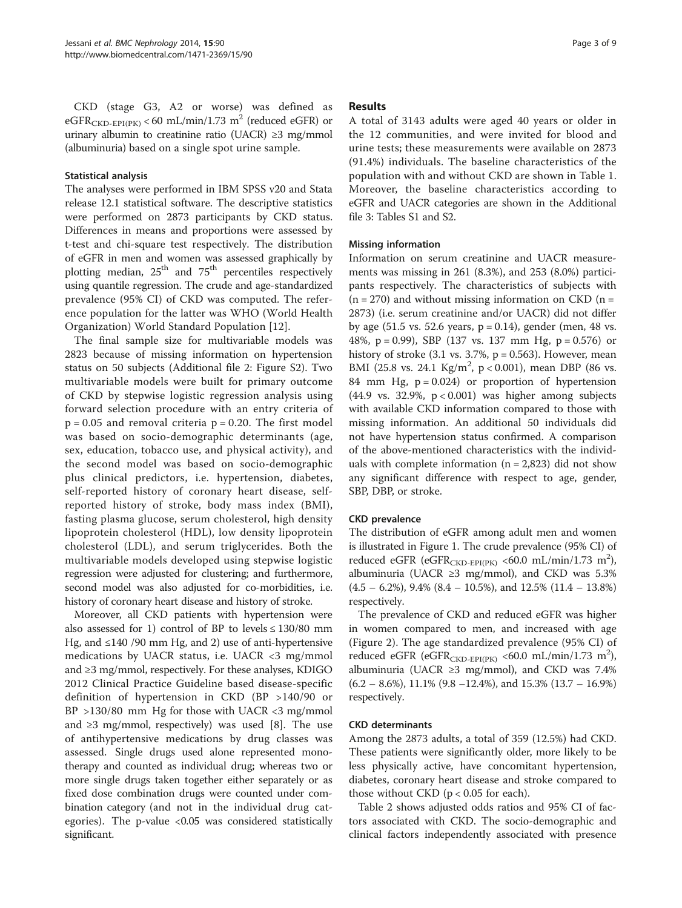CKD (stage G3, A2 or worse) was defined as eGFR<sub>CKD-EPI(PK)</sub> < 60 mL/min/1.73 m<sup>2</sup> (reduced eGFR) or urinary albumin to creatinine ratio (UACR) ≥3 mg/mmol (albuminuria) based on a single spot urine sample.

#### Statistical analysis

The analyses were performed in IBM SPSS v20 and Stata release 12.1 statistical software. The descriptive statistics were performed on 2873 participants by CKD status. Differences in means and proportions were assessed by t-test and chi-square test respectively. The distribution of eGFR in men and women was assessed graphically by plotting median,  $25<sup>th</sup>$  and  $75<sup>th</sup>$  percentiles respectively using quantile regression. The crude and age-standardized prevalence (95% CI) of CKD was computed. The reference population for the latter was WHO (World Health Organization) World Standard Population [\[12](#page-8-0)].

The final sample size for multivariable models was 2823 because of missing information on hypertension status on 50 subjects (Additional file [2](#page-7-0): Figure S2). Two multivariable models were built for primary outcome of CKD by stepwise logistic regression analysis using forward selection procedure with an entry criteria of  $p = 0.05$  and removal criteria  $p = 0.20$ . The first model was based on socio-demographic determinants (age, sex, education, tobacco use, and physical activity), and the second model was based on socio-demographic plus clinical predictors, i.e. hypertension, diabetes, self-reported history of coronary heart disease, selfreported history of stroke, body mass index (BMI), fasting plasma glucose, serum cholesterol, high density lipoprotein cholesterol (HDL), low density lipoprotein cholesterol (LDL), and serum triglycerides. Both the multivariable models developed using stepwise logistic regression were adjusted for clustering; and furthermore, second model was also adjusted for co-morbidities, i.e. history of coronary heart disease and history of stroke.

Moreover, all CKD patients with hypertension were also assessed for 1) control of BP to levels  $\leq$  130/80 mm Hg, and ≤140 /90 mm Hg, and 2) use of anti-hypertensive medications by UACR status, i.e. UACR <3 mg/mmol and ≥3 mg/mmol, respectively. For these analyses, KDIGO 2012 Clinical Practice Guideline based disease-specific definition of hypertension in CKD (BP >140/90 or BP >130/80 mm Hg for those with UACR <3 mg/mmol and  $\geq$ 3 mg/mmol, respectively) was used [\[8](#page-8-0)]. The use of antihypertensive medications by drug classes was assessed. Single drugs used alone represented monotherapy and counted as individual drug; whereas two or more single drugs taken together either separately or as fixed dose combination drugs were counted under combination category (and not in the individual drug categories). The p-value <0.05 was considered statistically significant.

## Results

A total of 3143 adults were aged 40 years or older in the 12 communities, and were invited for blood and urine tests; these measurements were available on 2873 (91.4%) individuals. The baseline characteristics of the population with and without CKD are shown in Table [1](#page-3-0). Moreover, the baseline characteristics according to eGFR and UACR categories are shown in the Additional file [3](#page-7-0): Tables S1 and S2.

## Missing information

Information on serum creatinine and UACR measurements was missing in 261 (8.3%), and 253 (8.0%) participants respectively. The characteristics of subjects with  $(n = 270)$  and without missing information on CKD  $(n = 170)$ 2873) (i.e. serum creatinine and/or UACR) did not differ by age (51.5 vs. 52.6 years,  $p = 0.14$ ), gender (men, 48 vs. 48%, p = 0.99), SBP (137 vs. 137 mm Hg, p = 0.576) or history of stroke  $(3.1 \text{ vs. } 3.7\%)$ , p = 0.563). However, mean BMI (25.8 vs. 24.1 Kg/m<sup>2</sup>, p < 0.001), mean DBP (86 vs. 84 mm Hg,  $p = 0.024$ ) or proportion of hypertension  $(44.9 \text{ vs. } 32.9\%, \text{ p} < 0.001)$  was higher among subjects with available CKD information compared to those with missing information. An additional 50 individuals did not have hypertension status confirmed. A comparison of the above-mentioned characteristics with the individuals with complete information  $(n = 2,823)$  did not show any significant difference with respect to age, gender, SBP, DBP, or stroke.

## CKD prevalence

The distribution of eGFR among adult men and women is illustrated in Figure [1](#page-4-0). The crude prevalence (95% CI) of reduced eGFR (eGFR<sub>CKD-EPI(PK)</sub> <60.0 mL/min/1.73 m<sup>2</sup>), albuminuria (UACR  $\geq$ 3 mg/mmol), and CKD was 5.3%  $(4.5 - 6.2\%)$ ,  $9.4\%$   $(8.4 - 10.5\%)$ , and  $12.5\%$   $(11.4 - 13.8\%)$ respectively.

The prevalence of CKD and reduced eGFR was higher in women compared to men, and increased with age (Figure [2](#page-5-0)). The age standardized prevalence (95% CI) of reduced eGFR (eGFR<sub>CKD-EPI(PK)</sub> <60.0 mL/min/1.73 m<sup>2</sup>), albuminuria (UACR ≥3 mg/mmol), and CKD was 7.4%  $(6.2 - 8.6\%)$ , 11.1%  $(9.8 - 12.4\%)$ , and 15.3%  $(13.7 - 16.9\%)$ respectively.

## CKD determinants

Among the 2873 adults, a total of 359 (12.5%) had CKD. These patients were significantly older, more likely to be less physically active, have concomitant hypertension, diabetes, coronary heart disease and stroke compared to those without CKD ( $p < 0.05$  for each).

Table [2](#page-5-0) shows adjusted odds ratios and 95% CI of factors associated with CKD. The socio-demographic and clinical factors independently associated with presence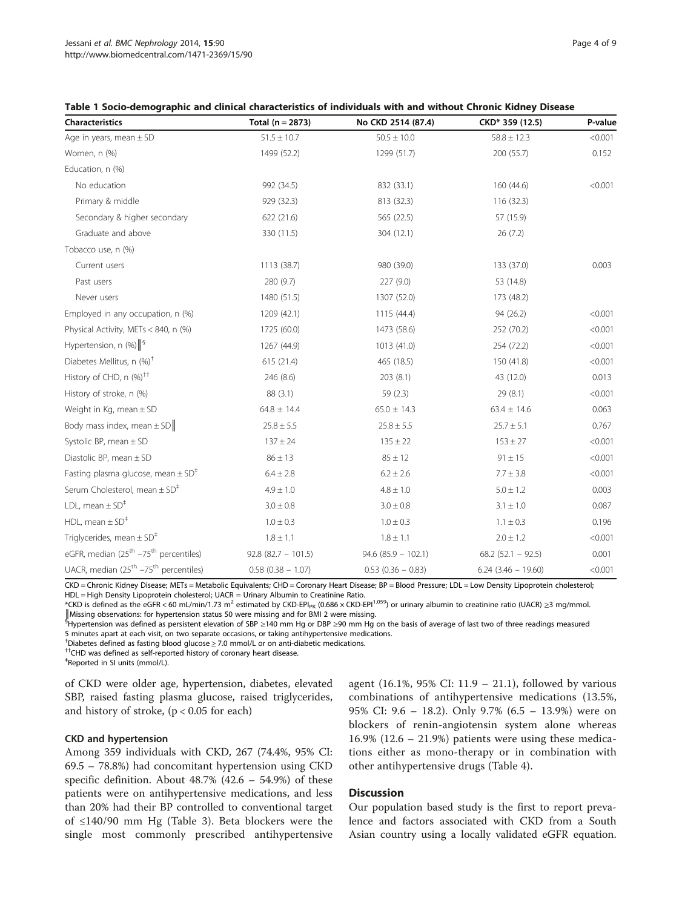<span id="page-3-0"></span>

| Table 1 Socio-demographic and clinical characteristics of individuals with and without Chronic Kidney Disease |  |
|---------------------------------------------------------------------------------------------------------------|--|
|---------------------------------------------------------------------------------------------------------------|--|

| Characteristics                                               | Total $(n = 2873)$    | No CKD 2514 (87.4)    | CKD* 359 (12.5)       | P-value |
|---------------------------------------------------------------|-----------------------|-----------------------|-----------------------|---------|
| Age in years, mean $\pm$ SD                                   | $51.5 \pm 10.7$       | $50.5 \pm 10.0$       | $58.8 \pm 12.3$       | < 0.001 |
| Women, n (%)                                                  | 1499 (52.2)           | 1299 (51.7)           | 200 (55.7)            | 0.152   |
| Education, n (%)                                              |                       |                       |                       |         |
| No education                                                  | 992 (34.5)            | 832 (33.1)            | 160 (44.6)            | < 0.001 |
| Primary & middle                                              | 929 (32.3)            | 813 (32.3)            | 116 (32.3)            |         |
| Secondary & higher secondary                                  | 622 (21.6)            | 565 (22.5)            | 57 (15.9)             |         |
| Graduate and above                                            | 330 (11.5)            | 304 (12.1)            | 26(7.2)               |         |
| Tobacco use, n (%)                                            |                       |                       |                       |         |
| Current users                                                 | 1113 (38.7)           | 980 (39.0)            | 133 (37.0)            | 0.003   |
| Past users                                                    | 280 (9.7)             | 227 (9.0)             | 53 (14.8)             |         |
| Never users                                                   | 1480 (51.5)           | 1307 (52.0)           | 173 (48.2)            |         |
| Employed in any occupation, n (%)                             | 1209 (42.1)           | 1115 (44.4)           | 94 (26.2)             | < 0.001 |
| Physical Activity, METs < 840, n (%)                          | 1725 (60.0)           | 1473 (58.6)           | 252 (70.2)            | < 0.001 |
| Hypertension, n $(\%)$ <sup>§</sup>                           | 1267 (44.9)           | 1013 (41.0)           | 254 (72.2)            | < 0.001 |
| Diabetes Mellitus, n (%) <sup>+</sup>                         | 615(21.4)             | 465 (18.5)            | 150 (41.8)            | < 0.001 |
| History of CHD, n (%) <sup>++</sup>                           | 246 (8.6)             | 203(8.1)              | 43 (12.0)             | 0.013   |
| History of stroke, n (%)                                      | 88(3.1)               | 59(2.3)               | 29(8.1)               | < 0.001 |
| Weight in Kg, mean $\pm$ SD                                   | $64.8 \pm 14.4$       | $65.0 \pm 14.3$       | $63.4 \pm 14.6$       | 0.063   |
| Body mass index, mean $\pm$ SD                                | $25.8 \pm 5.5$        | $25.8 \pm 5.5$        | $25.7 \pm 5.1$        | 0.767   |
| Systolic BP, mean ± SD                                        | $137 \pm 24$          | $135 \pm 22$          | $153 \pm 27$          | < 0.001 |
| Diastolic BP, mean ± SD                                       | $86 \pm 13$           | $85 \pm 12$           | $91 \pm 15$           | < 0.001 |
| Fasting plasma glucose, mean $\pm$ SD <sup>‡</sup>            | $6.4 \pm 2.8$         | $6.2 \pm 2.6$         | $7.7 \pm 3.8$         | < 0.001 |
| Serum Cholesterol, mean $\pm$ SD <sup>‡</sup>                 | $4.9 \pm 1.0$         | $4.8 \pm 1.0$         | $5.0 \pm 1.2$         | 0.003   |
| LDL, mean $\pm$ SD <sup>‡</sup>                               | $3.0 \pm 0.8$         | $3.0 \pm 0.8$         | $3.1 \pm 1.0$         | 0.087   |
| HDL, mean $\pm$ SD <sup>‡</sup>                               | $1.0 \pm 0.3$         | $1.0 \pm 0.3$         | $1.1 \pm 0.3$         | 0.196   |
| Triglycerides, mean $\pm$ SD <sup>‡</sup>                     | $1.8 \pm 1.1$         | $1.8 \pm 1.1$         | $2.0 \pm 1.2$         | < 0.001 |
| eGFR, median (25 <sup>th</sup> -75 <sup>th</sup> percentiles) | $92.8$ (82.7 - 101.5) | $94.6 (85.9 - 102.1)$ | $68.2$ (52.1 - 92.5)  | 0.001   |
| UACR, median (25 <sup>th</sup> -75 <sup>th</sup> percentiles) | $0.58$ (0.38 - 1.07)  | $0.53$ (0.36 - 0.83)  | $6.24$ (3.46 - 19.60) | < 0.001 |

CKD = Chronic Kidney Disease; METs = Metabolic Equivalents; CHD = Coronary Heart Disease; BP = Blood Pressure; LDL = Low Density Lipoprotein cholesterol; HDL = High Density Lipoprotein cholesterol; UACR = Urinary Albumin to Creatinine Ratio.

\*CKD is defined as the eGFR < 60 mL/min/1.73 m<sup>2</sup> estimated by CKD-EPI<sub>PK</sub> (0.686 × CKD-EPI<sup>1.059</sup>) or urinary albumin to creatinine ratio (UACR) ≥3 mg/mmol. ║Missing observations: for hypertension status 50 were missing and for BMI 2 were missing.

§ Hypertension was defined as persistent elevation of SBP ≥140 mm Hg or DBP ≥90 mm Hg on the basis of average of last two of three readings measured 5 minutes apart at each visit, on two separate occasions, or taking antihypertensive medications.

 $<sup>†</sup>$ Diabetes defined as fasting blood glucose  $\geq$  7.0 mmol/L or on anti-diabetic medications.</sup>

<sup>††</sup>CHD was defined as self-reported history of coronary heart disease.

‡ Reported in SI units (mmol/L).

of CKD were older age, hypertension, diabetes, elevated SBP, raised fasting plasma glucose, raised triglycerides, and history of stroke,  $(p < 0.05$  for each)

#### CKD and hypertension

Among 359 individuals with CKD, 267 (74.4%, 95% CI: 69.5 – 78.8%) had concomitant hypertension using CKD specific definition. About  $48.7\%$   $(42.6 - 54.9\%)$  of these patients were on antihypertensive medications, and less than 20% had their BP controlled to conventional target of ≤140/90 mm Hg (Table [3](#page-6-0)). Beta blockers were the single most commonly prescribed antihypertensive

agent (16.1%, 95% CI: 11.9 – 21.1), followed by various combinations of antihypertensive medications (13.5%, 95% CI: 9.6 – 18.2). Only 9.7% (6.5 – 13.9%) were on blockers of renin-angiotensin system alone whereas 16.9% (12.6 – 21.9%) patients were using these medications either as mono-therapy or in combination with other antihypertensive drugs (Table [4\)](#page-6-0).

## Discussion

Our population based study is the first to report prevalence and factors associated with CKD from a South Asian country using a locally validated eGFR equation.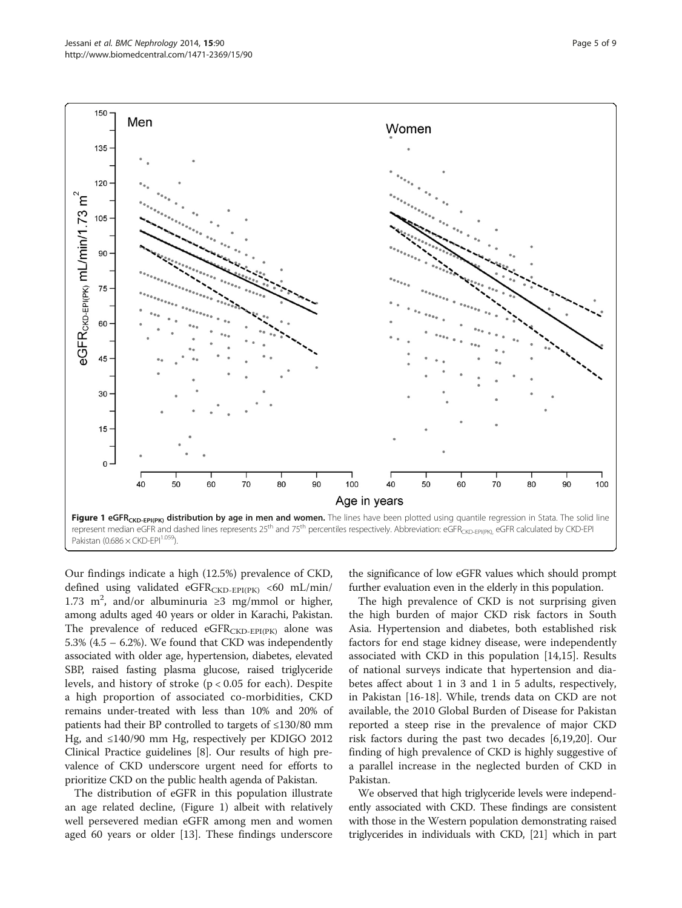<span id="page-4-0"></span>

Our findings indicate a high (12.5%) prevalence of CKD, defined using validated eGFR $_{\text{CKD-EPI(PK)}}$  <60 mL/min/ 1.73 m<sup>2</sup>, and/or albuminuria ≥3 mg/mmol or higher, among adults aged 40 years or older in Karachi, Pakistan. The prevalence of reduced eGFR $_{\text{CKD-EPI(PK)}}$  alone was 5.3% (4.5 – 6.2%). We found that CKD was independently associated with older age, hypertension, diabetes, elevated SBP, raised fasting plasma glucose, raised triglyceride levels, and history of stroke ( $p < 0.05$  for each). Despite a high proportion of associated co-morbidities, CKD remains under-treated with less than 10% and 20% of patients had their BP controlled to targets of ≤130/80 mm Hg, and ≤140/90 mm Hg, respectively per KDIGO 2012 Clinical Practice guidelines [[8](#page-8-0)]. Our results of high prevalence of CKD underscore urgent need for efforts to prioritize CKD on the public health agenda of Pakistan.

The distribution of eGFR in this population illustrate an age related decline, (Figure 1) albeit with relatively well persevered median eGFR among men and women aged 60 years or older [\[13](#page-8-0)]. These findings underscore the significance of low eGFR values which should prompt further evaluation even in the elderly in this population.

The high prevalence of CKD is not surprising given the high burden of major CKD risk factors in South Asia. Hypertension and diabetes, both established risk factors for end stage kidney disease, were independently associated with CKD in this population [\[14,15](#page-8-0)]. Results of national surveys indicate that hypertension and diabetes affect about 1 in 3 and 1 in 5 adults, respectively, in Pakistan [\[16](#page-8-0)-[18\]](#page-8-0). While, trends data on CKD are not available, the 2010 Global Burden of Disease for Pakistan reported a steep rise in the prevalence of major CKD risk factors during the past two decades [\[6](#page-8-0),[19](#page-8-0),[20](#page-8-0)]. Our finding of high prevalence of CKD is highly suggestive of a parallel increase in the neglected burden of CKD in Pakistan.

We observed that high triglyceride levels were independently associated with CKD. These findings are consistent with those in the Western population demonstrating raised triglycerides in individuals with CKD, [[21](#page-8-0)] which in part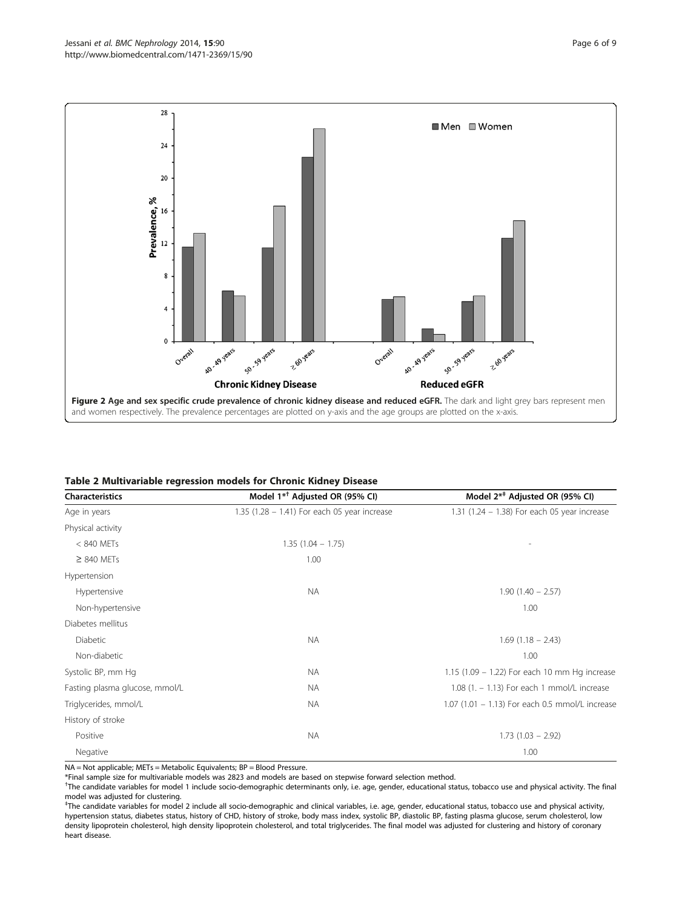<span id="page-5-0"></span>

#### Table 2 Multivariable regression models for Chronic Kidney Disease

| <b>Characteristics</b>         | Model 1 <sup>*†</sup> Adjusted OR (95% CI)     | Model 2 <sup>*</sup> Adjusted OR (95% CI)       |
|--------------------------------|------------------------------------------------|-------------------------------------------------|
| Age in years                   | 1.35 $(1.28 - 1.41)$ For each 05 year increase | 1.31 (1.24 - 1.38) For each 05 year increase    |
| Physical activity              |                                                |                                                 |
| < 840 METs                     | $1.35(1.04 - 1.75)$                            |                                                 |
| $\geq$ 840 METs                | 1.00                                           |                                                 |
| Hypertension                   |                                                |                                                 |
| Hypertensive                   | <b>NA</b>                                      | $1.90(1.40 - 2.57)$                             |
| Non-hypertensive               |                                                | 1.00                                            |
| Diabetes mellitus              |                                                |                                                 |
| Diabetic                       | <b>NA</b>                                      | $1.69(1.18 - 2.43)$                             |
| Non-diabetic                   |                                                | 1.00                                            |
| Systolic BP, mm Hg             | NA.                                            | 1.15 (1.09 - 1.22) For each 10 mm Hg increase   |
| Fasting plasma glucose, mmol/L | <b>NA</b>                                      | $1.08$ (1. - 1.13) For each 1 mmol/L increase   |
| Triglycerides, mmol/L          | <b>NA</b>                                      | 1.07 (1.01 - 1.13) For each 0.5 mmol/L increase |
| History of stroke              |                                                |                                                 |
| Positive                       | <b>NA</b>                                      | $1.73(1.03 - 2.92)$                             |
| Negative                       |                                                | 1.00                                            |

NA = Not applicable; METs = Metabolic Equivalents; BP = Blood Pressure.

\*Final sample size for multivariable models was 2823 and models are based on stepwise forward selection method.

† The candidate variables for model 1 include socio-demographic determinants only, i.e. age, gender, educational status, tobacco use and physical activity. The final model was adjusted for clustering.

‡ The candidate variables for model 2 include all socio-demographic and clinical variables, i.e. age, gender, educational status, tobacco use and physical activity, hypertension status, diabetes status, history of CHD, history of stroke, body mass index, systolic BP, diastolic BP, fasting plasma glucose, serum cholesterol, low density lipoprotein cholesterol, high density lipoprotein cholesterol, and total triglycerides. The final model was adjusted for clustering and history of coronary heart disease.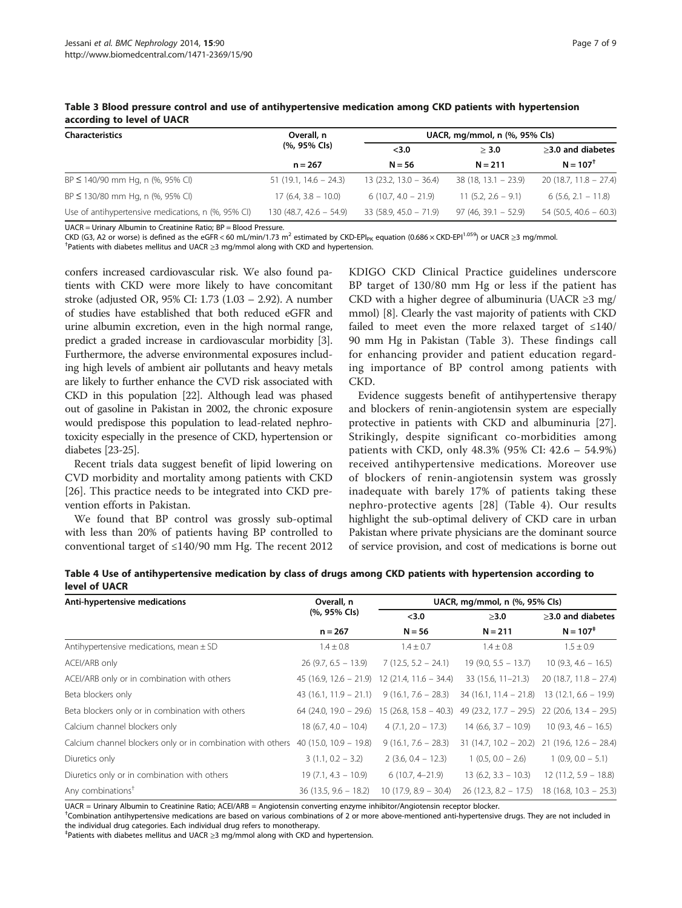| <b>Characteristics</b>                             | Overall, n               | UACR, mg/mmol, n (%, 95% Cls) |                       |                          |  |
|----------------------------------------------------|--------------------------|-------------------------------|-----------------------|--------------------------|--|
|                                                    | (%, 95% Cls)             | $3.0$                         | > 3.0                 | $>3.0$ and diabetes      |  |
|                                                    | $n = 267$                | $N = 56$                      | $N = 211$             | $N = 107^{T}$            |  |
| $BP \leq 140/90$ mm Hg, n (%, 95% CI)              | 51 (19.1, 14.6 – 24.3)   | $13(23.2, 13.0 - 36.4)$       | $38(18, 13.1 - 23.9)$ | $20(18.7, 11.8 - 27.4)$  |  |
| $BP \leq 130/80$ mm Hg, n (%, 95% CI)              | $17(6.4, 3.8 - 10.0)$    | $6(10.7, 4.0 - 21.9)$         | $11(5.2, 2.6 - 9.1)$  | $6(5.6, 2.1 - 11.8)$     |  |
| Use of antihypertensive medications, n (%, 95% CI) | $130(48.7, 42.6 - 54.9)$ | $33(58.9, 45.0 - 71.9)$       | $97(46, 39.1 - 52.9)$ | 54 (50.5, 40.6 $-$ 60.3) |  |

<span id="page-6-0"></span>Table 3 Blood pressure control and use of antihypertensive medication among CKD patients with hypertension according to level of UACR

UACR = Urinary Albumin to Creatinine Ratio; BP = Blood Pressure.

CKD (G3, A2 or worse) is defined as the eGFR < 60 mL/min/1.73 m<sup>2</sup> estimated by CKD-EPI<sub>PK</sub> equation (0.686 × CKD-EPI<sup>1.059</sup>) or UACR ≥3 mg/mmol.

Patients with diabetes mellitus and UACR ≥3 mg/mmol along with CKD and hypertension.

confers increased cardiovascular risk. We also found patients with CKD were more likely to have concomitant stroke (adjusted OR, 95% CI: 1.73 (1.03 – 2.92). A number of studies have established that both reduced eGFR and urine albumin excretion, even in the high normal range, predict a graded increase in cardiovascular morbidity [[3](#page-8-0)]. Furthermore, the adverse environmental exposures including high levels of ambient air pollutants and heavy metals are likely to further enhance the CVD risk associated with CKD in this population [\[22\]](#page-8-0). Although lead was phased out of gasoline in Pakistan in 2002, the chronic exposure would predispose this population to lead-related nephrotoxicity especially in the presence of CKD, hypertension or diabetes [\[23-25\]](#page-8-0).

Recent trials data suggest benefit of lipid lowering on CVD morbidity and mortality among patients with CKD [[26\]](#page-8-0). This practice needs to be integrated into CKD prevention efforts in Pakistan.

We found that BP control was grossly sub-optimal with less than 20% of patients having BP controlled to conventional target of ≤140/90 mm Hg. The recent 2012

KDIGO CKD Clinical Practice guidelines underscore BP target of 130/80 mm Hg or less if the patient has CKD with a higher degree of albuminuria (UACR  $\geq$ 3 mg/ mmol) [[8](#page-8-0)]. Clearly the vast majority of patients with CKD failed to meet even the more relaxed target of ≤140/ 90 mm Hg in Pakistan (Table 3). These findings call for enhancing provider and patient education regarding importance of BP control among patients with CKD.

Evidence suggests benefit of antihypertensive therapy and blockers of renin-angiotensin system are especially protective in patients with CKD and albuminuria [\[27](#page-8-0)]. Strikingly, despite significant co-morbidities among patients with CKD, only 48.3% (95% CI: 42.6 – 54.9%) received antihypertensive medications. Moreover use of blockers of renin-angiotensin system was grossly inadequate with barely 17% of patients taking these nephro-protective agents [[28](#page-8-0)] (Table 4). Our results highlight the sub-optimal delivery of CKD care in urban Pakistan where private physicians are the dominant source of service provision, and cost of medications is borne out

Table 4 Use of antihypertensive medication by class of drugs among CKD patients with hypertension according to level of UACR

| Anti-hypertensive medications                                                      | Overall, n              | UACR, mg/mmol, n (%, 95% Cls)                   |                                               |                                             |
|------------------------------------------------------------------------------------|-------------------------|-------------------------------------------------|-----------------------------------------------|---------------------------------------------|
|                                                                                    | (%, 95% Cls)            | < 3.0                                           | $\geq$ 3.0                                    | >3.0 and diabetes<br>$N = 107$ <sup>+</sup> |
|                                                                                    | $n = 267$               | $N = 56$                                        | $N = 211$                                     |                                             |
| Antihypertensive medications, mean $\pm$ SD                                        | $1.4 \pm 0.8$           | $1.4 \pm 0.7$                                   | $1.4 \pm 0.8$                                 | $1.5 \pm 0.9$                               |
| ACEI/ARB only                                                                      | $26(9.7, 6.5 - 13.9)$   | $7(12.5, 5.2 - 24.1)$                           | $19(9.0, 5.5 - 13.7)$                         | $10(9.3, 4.6 - 16.5)$                       |
| ACEI/ARB only or in combination with others                                        |                         | 45 (16.9, 12.6 - 21.9) 12 (21.4, 11.6 - 34.4)   | 33 (15.6, 11–21.3)                            | $20(18.7, 11.8 - 27.4)$                     |
| Beta blockers only                                                                 | $43(16.1, 11.9 - 21.1)$ | $9(16.1, 7.6 - 28.3)$                           | $34(16.1, 11.4 - 21.8)$                       | $13(12.1, 6.6 - 19.9)$                      |
| Beta blockers only or in combination with others                                   |                         | $64$ (24.0, 19.0 - 29.6) 15 (26.8, 15.8 - 40.3) | 49 (23.2, 17.7 - 29.5) 22 (20.6, 13.4 - 29.5) |                                             |
| Calcium channel blockers only                                                      | $18(6.7, 4.0 - 10.4)$   | $4(7.1, 2.0 - 17.3)$                            | $14(6.6, 3.7 - 10.9)$                         | $10(9.3, 4.6 - 16.5)$                       |
| Calcium channel blockers only or in combination with others 40 (15.0, 10.9 - 19.8) |                         | $9(16.1, 7.6 - 28.3)$                           | $31(14.7, 10.2 - 20.2)$                       | $21(19.6, 12.6 - 28.4)$                     |
| Diuretics only                                                                     | $3(1.1, 0.2 - 3.2)$     | $2(3.6, 0.4 - 12.3)$                            | $1(0.5, 0.0 - 2.6)$                           | $1(0.9, 0.0 - 5.1)$                         |
| Diuretics only or in combination with others                                       | $19(7.1, 4.3 - 10.9)$   | 6 (10.7, 4–21.9)                                | $13(6.2, 3.3 - 10.3)$                         | $12(11.2, 5.9 - 18.8)$                      |
| Any combinations <sup>†</sup>                                                      | $36(13.5, 9.6 - 18.2)$  | $10(17.9, 8.9 - 30.4)$                          | $26(12.3, 8.2 - 17.5)$                        | $18(16.8, 10.3 - 25.3)$                     |

UACR = Urinary Albumin to Creatinine Ratio; ACEI/ARB = Angiotensin converting enzyme inhibitor/Angiotensin receptor blocker.

† Combination antihypertensive medications are based on various combinations of 2 or more above-mentioned anti-hypertensive drugs. They are not included in the individual drug categories. Each individual drug refers to monotherapy.

‡ Patients with diabetes mellitus and UACR ≥3 mg/mmol along with CKD and hypertension.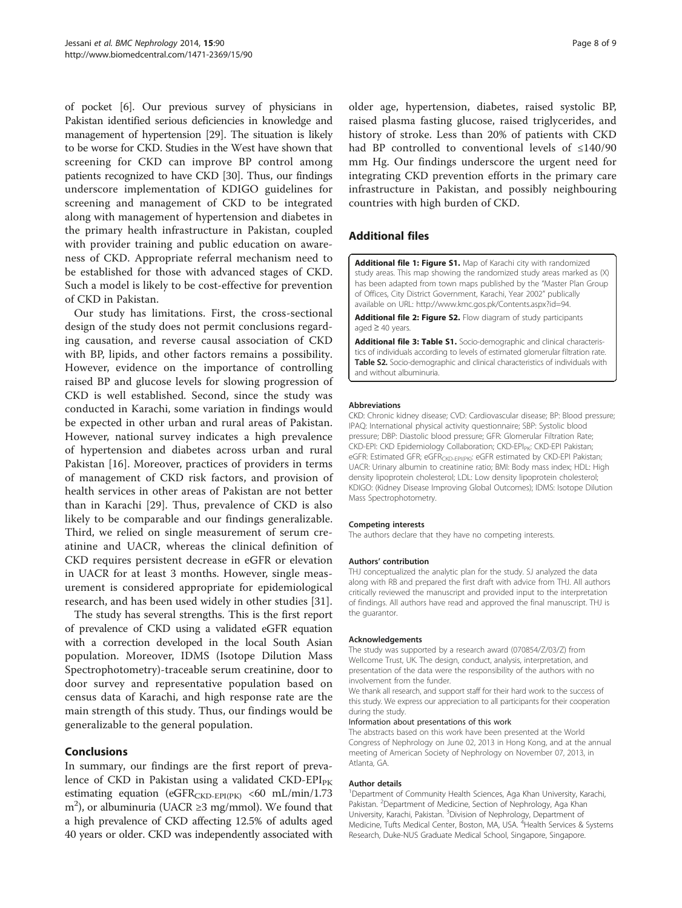<span id="page-7-0"></span>of pocket [[6](#page-8-0)]. Our previous survey of physicians in Pakistan identified serious deficiencies in knowledge and management of hypertension [[29](#page-8-0)]. The situation is likely to be worse for CKD. Studies in the West have shown that screening for CKD can improve BP control among patients recognized to have CKD [\[30](#page-8-0)]. Thus, our findings underscore implementation of KDIGO guidelines for screening and management of CKD to be integrated along with management of hypertension and diabetes in the primary health infrastructure in Pakistan, coupled with provider training and public education on awareness of CKD. Appropriate referral mechanism need to be established for those with advanced stages of CKD. Such a model is likely to be cost-effective for prevention of CKD in Pakistan.

Our study has limitations. First, the cross-sectional design of the study does not permit conclusions regarding causation, and reverse causal association of CKD with BP, lipids, and other factors remains a possibility. However, evidence on the importance of controlling raised BP and glucose levels for slowing progression of CKD is well established. Second, since the study was conducted in Karachi, some variation in findings would be expected in other urban and rural areas of Pakistan. However, national survey indicates a high prevalence of hypertension and diabetes across urban and rural Pakistan [[16](#page-8-0)]. Moreover, practices of providers in terms of management of CKD risk factors, and provision of health services in other areas of Pakistan are not better than in Karachi [[29](#page-8-0)]. Thus, prevalence of CKD is also likely to be comparable and our findings generalizable. Third, we relied on single measurement of serum creatinine and UACR, whereas the clinical definition of CKD requires persistent decrease in eGFR or elevation in UACR for at least 3 months. However, single measurement is considered appropriate for epidemiological research, and has been used widely in other studies [[31\]](#page-8-0).

The study has several strengths. This is the first report of prevalence of CKD using a validated eGFR equation with a correction developed in the local South Asian population. Moreover, IDMS (Isotope Dilution Mass Spectrophotometry)-traceable serum creatinine, door to door survey and representative population based on census data of Karachi, and high response rate are the main strength of this study. Thus, our findings would be generalizable to the general population.

## **Conclusions**

In summary, our findings are the first report of prevalence of CKD in Pakistan using a validated CKD-EPI $_{\rm PK}$ estimating equation (eGFR<sub>CKD-EPI(PK)</sub> <60 mL/min/1.73 m<sup>2</sup>), or albuminuria (UACR ≥3 mg/mmol). We found that a high prevalence of CKD affecting 12.5% of adults aged 40 years or older. CKD was independently associated with

older age, hypertension, diabetes, raised systolic BP, raised plasma fasting glucose, raised triglycerides, and history of stroke. Less than 20% of patients with CKD had BP controlled to conventional levels of ≤140/90 mm Hg. Our findings underscore the urgent need for integrating CKD prevention efforts in the primary care infrastructure in Pakistan, and possibly neighbouring countries with high burden of CKD.

#### Additional files

[Additional file 1: Figure S1.](http://www.biomedcentral.com/content/supplementary/1471-2369-15-90-S1.jpeg) Map of Karachi city with randomized study areas. This map showing the randomized study areas marked as (X) has been adapted from town maps published by the "Master Plan Group of Offices, City District Government, Karachi, Year 2002" publically available on URL: [http://www.kmc.gos.pk/Contents.aspx?id=94.](http://www.kmc.gos.pk/Contents.aspx?id=94)

[Additional file 2: Figure S2.](http://www.biomedcentral.com/content/supplementary/1471-2369-15-90-S2.jpg) Flow diagram of study participants aged ≥ 40 years.

[Additional file 3: Table S1.](http://www.biomedcentral.com/content/supplementary/1471-2369-15-90-S3.docx) Socio-demographic and clinical characteristics of individuals according to levels of estimated glomerular filtration rate. Table S2. Socio-demographic and clinical characteristics of individuals with and without albuminuria.

#### Abbreviations

CKD: Chronic kidney disease; CVD: Cardiovascular disease; BP: Blood pressure; IPAQ: International physical activity questionnaire; SBP: Systolic blood pressure; DBP: Diastolic blood pressure; GFR: Glomerular Filtration Rate; CKD-EPI: CKD Epidemiology Collaboration; CKD-EPI<sub>PK</sub>: CKD-EPI Pakistan; eGFR: Estimated GFR; eGFR<sub>CKD-EPI(PK)</sub>: eGFR estimated by CKD-EPI Pakistan; UACR: Urinary albumin to creatinine ratio; BMI: Body mass index; HDL: High density lipoprotein cholesterol; LDL: Low density lipoprotein cholesterol; KDIGO: (Kidney Disease Improving Global Outcomes); IDMS: Isotope Dilution Mass Spectrophotometry.

#### Competing interests

The authors declare that they have no competing interests.

#### Authors' contribution

THJ conceptualized the analytic plan for the study. SJ analyzed the data along with RB and prepared the first draft with advice from THJ. All authors critically reviewed the manuscript and provided input to the interpretation of findings. All authors have read and approved the final manuscript. THJ is the guarantor.

#### Acknowledgements

The study was supported by a research award (070854/Z/03/Z) from Wellcome Trust, UK. The design, conduct, analysis, interpretation, and presentation of the data were the responsibility of the authors with no involvement from the funder.

We thank all research, and support staff for their hard work to the success of this study. We express our appreciation to all participants for their cooperation during the study.

#### Information about presentations of this work

The abstracts based on this work have been presented at the World Congress of Nephrology on June 02, 2013 in Hong Kong, and at the annual meeting of American Society of Nephrology on November 07, 2013, in Atlanta, GA.

#### Author details

<sup>1</sup>Department of Community Health Sciences, Aga Khan University, Karachi, Pakistan. <sup>2</sup>Department of Medicine, Section of Nephrology, Aga Khan University, Karachi, Pakistan. <sup>3</sup> Division of Nephrology, Department of Medicine, Tufts Medical Center, Boston, MA, USA. <sup>4</sup>Health Services & Systems Research, Duke-NUS Graduate Medical School, Singapore, Singapore.